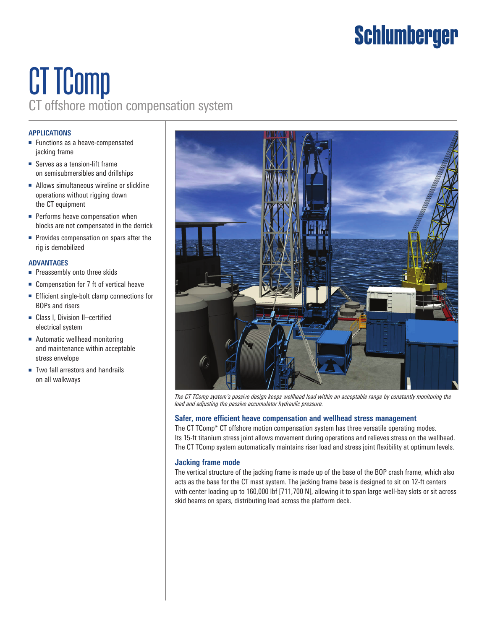## **Schlumberger**

## CT TComp CT offshore motion compensation system

### **APPLICATIONS**

- Functions as a heave-compensated jacking frame
- Serves as a tension-lift frame on semisubmersibles and drillships
- Allows simultaneous wireline or slickline operations without rigging down the CT equipment
- Performs heave compensation when blocks are not compensated in the derrick
- Provides compensation on spars after the rig is demobilized

### **ADVANTAGES**

- Preassembly onto three skids
- Compensation for 7 ft of vertical heave
- Efficient single-bolt clamp connections for BOPs and risers
- Class I, Division II–certified electrical system
- Automatic wellhead monitoring and maintenance within acceptable stress envelope
- Two fall arrestors and handrails on all walkways



*The CT TComp system's passive design keeps wellhead load within an acceptable range by constantly monitoring the load and adjusting the passive accumulator hydraulic pressure.*

### **Safer, more efficient heave compensation and wellhead stress management**

The CT TComp\* CT offshore motion compensation system has three versatile operating modes. Its 15-ft titanium stress joint allows movement during operations and relieves stress on the wellhead. The CT TComp system automatically maintains riser load and stress joint flexibility at optimum levels.

### **Jacking frame mode**

The vertical structure of the jacking frame is made up of the base of the BOP crash frame, which also acts as the base for the CT mast system. The jacking frame base is designed to sit on 12-ft centers with center loading up to 160,000 lbf [711,700 N], allowing it to span large well-bay slots or sit across skid beams on spars, distributing load across the platform deck.